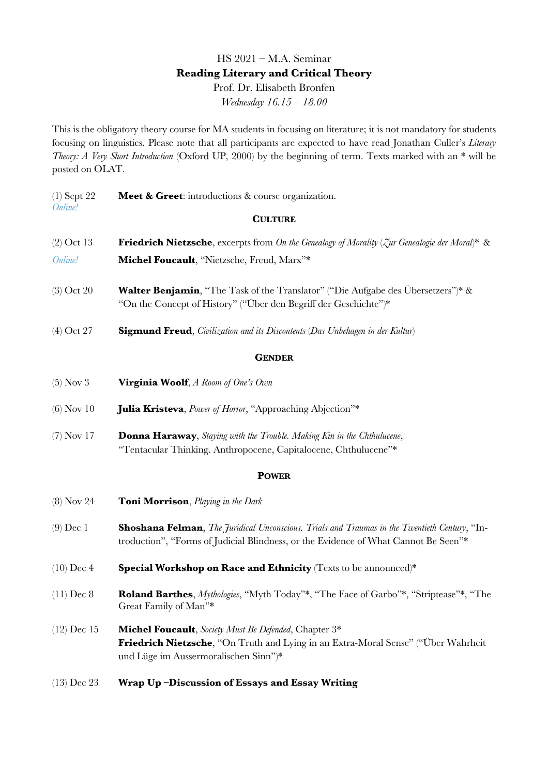# HS 2021 – M.A. Seminar **Reading Literary and Critical Theory** Prof. Dr. Elisabeth Bronfen

*Wednesday 16.15 – 18.00*

This is the obligatory theory course for MA students in focusing on literature; it is not mandatory for students focusing on linguistics. Please note that all participants are expected to have read Jonathan Culler's *Literary Theory: A Very Short Introduction* (Oxford UP, 2000) by the beginning of term. Texts marked with an \* will be posted on OLAT.

| $(1)$ Sept 22<br>Online! | Meet & Greet: introductions & course organization.                                                                                                                                           |
|--------------------------|----------------------------------------------------------------------------------------------------------------------------------------------------------------------------------------------|
|                          | <b>CULTURE</b>                                                                                                                                                                               |
| $(2)$ Oct 13             | <b>Friedrich Nietzsche</b> , excerpts from On the Genealogy of Morality ( $\zeta$ ur Genealogie der Moral)* &                                                                                |
| Online!                  | Michel Foucault, "Nietzsche, Freud, Marx"*                                                                                                                                                   |
| $(3)$ Oct 20             | <b>Walter Benjamin</b> , "The Task of the Translator" ("Die Aufgabe des Übersetzers")* &<br>"On the Concept of History" ("Über den Begriff der Geschichte")*                                 |
| $(4)$ Oct 27             | <b>Sigmund Freud</b> , <i>Civilization and its Discontents</i> (Das Unbehagen in der Kultur)                                                                                                 |
| <b>GENDER</b>            |                                                                                                                                                                                              |
| $(5)$ Nov 3              | <b>Virginia Woolf</b> , A Room of One's Own                                                                                                                                                  |
| $(6)$ Nov 10             | <b>Julia Kristeva</b> , <i>Power of Horror</i> , "Approaching Abjection"*                                                                                                                    |
| $(7)$ Nov 17             | <b>Donna Haraway</b> , Staying with the Trouble. Making Kin in the Chthulucene,<br>"Tentacular Thinking. Anthropocene, Capitalocene, Chthulucene"*                                           |
|                          | <b>POWER</b>                                                                                                                                                                                 |
| $(8)$ Nov 24             | <b>Toni Morrison</b> , Playing in the Dark                                                                                                                                                   |
| $(9)$ Dec 1              | <b>Shoshana Felman</b> , The Juridical Unconscious. Trials and Traumas in the Twentieth Century, "In-<br>troduction", "Forms of Judicial Blindness, or the Evidence of What Cannot Be Seen"* |
| $(10)$ Dec 4             | Special Workshop on Race and Ethnicity (Texts to be announced)*                                                                                                                              |
| $(11)$ Dec 8             | Roland Barthes, Mythologies, "Myth Today"*, "The Face of Garbo"*, "Striptease"*, "The<br>Great Family of Man"*                                                                               |
| $(12)$ Dec 15            | <b>Michel Foucault</b> , Society Must Be Defended, Chapter 3*<br>Friedrich Nietzsche, "On Truth and Lying in an Extra-Moral Sense" ("Über Wahrheit<br>und Lüge im Aussermoralischen Sinn")*  |
| $(13)$ Dec 23            | Wrap Up-Discussion of Essays and Essay Writing                                                                                                                                               |